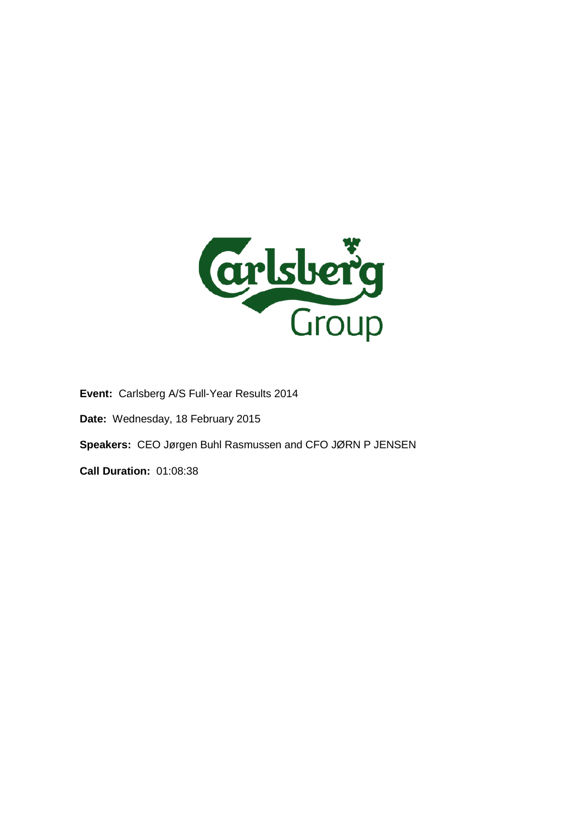

**Event:** Carlsberg A/S Full-Year Results 2014 **Date:** Wednesday, 18 February 2015 **Speakers:** CEO Jørgen Buhl Rasmussen and CFO JØRN P JENSEN **Call Duration:** 01:08:38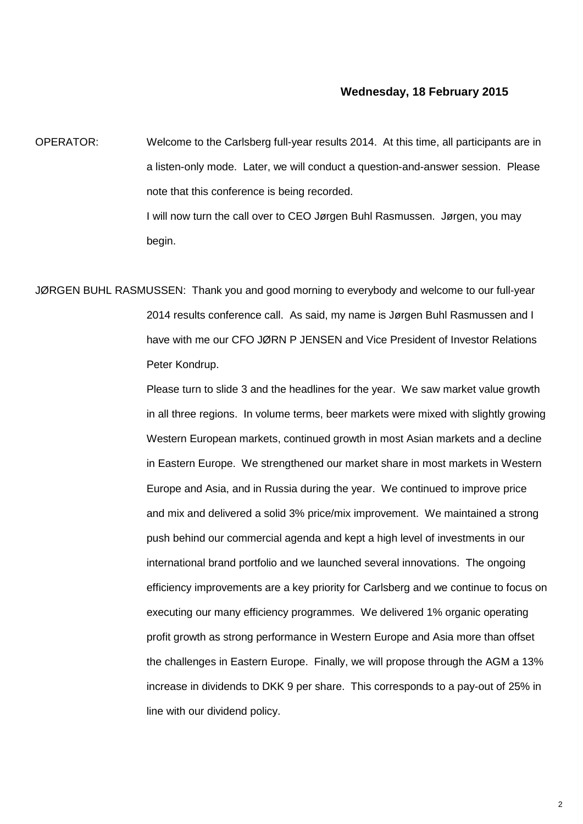## **Wednesday, 18 February 2015**

OPERATOR: Welcome to the Carlsberg full-year results 2014. At this time, all participants are in a listen-only mode. Later, we will conduct a question-and-answer session. Please note that this conference is being recorded. I will now turn the call over to CEO Jørgen Buhl Rasmussen. Jørgen, you may begin.

JØRGEN BUHL RASMUSSEN: Thank you and good morning to everybody and welcome to our full-year 2014 results conference call. As said, my name is Jørgen Buhl Rasmussen and I have with me our CFO JØRN P JENSEN and Vice President of Investor Relations Peter Kondrup.

> Please turn to slide 3 and the headlines for the year. We saw market value growth in all three regions. In volume terms, beer markets were mixed with slightly growing Western European markets, continued growth in most Asian markets and a decline in Eastern Europe. We strengthened our market share in most markets in Western Europe and Asia, and in Russia during the year. We continued to improve price and mix and delivered a solid 3% price/mix improvement. We maintained a strong push behind our commercial agenda and kept a high level of investments in our international brand portfolio and we launched several innovations. The ongoing efficiency improvements are a key priority for Carlsberg and we continue to focus on executing our many efficiency programmes. We delivered 1% organic operating profit growth as strong performance in Western Europe and Asia more than offset the challenges in Eastern Europe. Finally, we will propose through the AGM a 13% increase in dividends to DKK 9 per share. This corresponds to a pay-out of 25% in line with our dividend policy.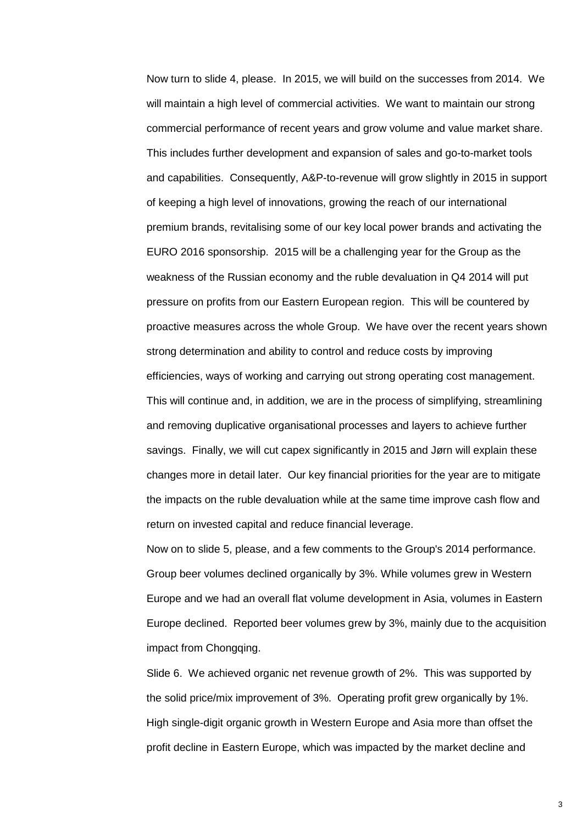Now turn to slide 4, please. In 2015, we will build on the successes from 2014. We will maintain a high level of commercial activities. We want to maintain our strong commercial performance of recent years and grow volume and value market share. This includes further development and expansion of sales and go-to-market tools and capabilities. Consequently, A&P-to-revenue will grow slightly in 2015 in support of keeping a high level of innovations, growing the reach of our international premium brands, revitalising some of our key local power brands and activating the EURO 2016 sponsorship. 2015 will be a challenging year for the Group as the weakness of the Russian economy and the ruble devaluation in Q4 2014 will put pressure on profits from our Eastern European region. This will be countered by proactive measures across the whole Group. We have over the recent years shown strong determination and ability to control and reduce costs by improving efficiencies, ways of working and carrying out strong operating cost management. This will continue and, in addition, we are in the process of simplifying, streamlining and removing duplicative organisational processes and layers to achieve further savings. Finally, we will cut capex significantly in 2015 and Jørn will explain these changes more in detail later. Our key financial priorities for the year are to mitigate the impacts on the ruble devaluation while at the same time improve cash flow and return on invested capital and reduce financial leverage.

Now on to slide 5, please, and a few comments to the Group's 2014 performance. Group beer volumes declined organically by 3%. While volumes grew in Western Europe and we had an overall flat volume development in Asia, volumes in Eastern Europe declined. Reported beer volumes grew by 3%, mainly due to the acquisition impact from Chongqing.

Slide 6. We achieved organic net revenue growth of 2%. This was supported by the solid price/mix improvement of 3%. Operating profit grew organically by 1%. High single-digit organic growth in Western Europe and Asia more than offset the profit decline in Eastern Europe, which was impacted by the market decline and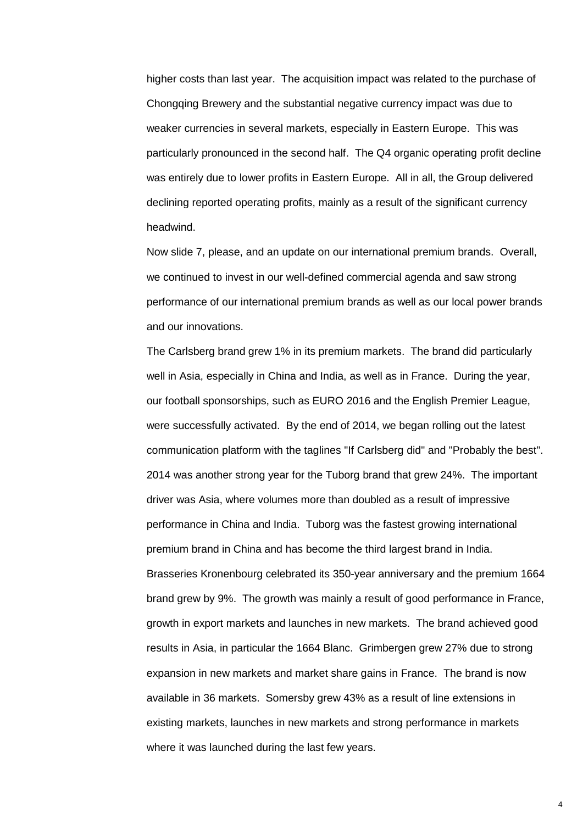higher costs than last year. The acquisition impact was related to the purchase of Chongqing Brewery and the substantial negative currency impact was due to weaker currencies in several markets, especially in Eastern Europe. This was particularly pronounced in the second half. The Q4 organic operating profit decline was entirely due to lower profits in Eastern Europe. All in all, the Group delivered declining reported operating profits, mainly as a result of the significant currency headwind.

Now slide 7, please, and an update on our international premium brands. Overall, we continued to invest in our well-defined commercial agenda and saw strong performance of our international premium brands as well as our local power brands and our innovations.

The Carlsberg brand grew 1% in its premium markets. The brand did particularly well in Asia, especially in China and India, as well as in France. During the year, our football sponsorships, such as EURO 2016 and the English Premier League, were successfully activated. By the end of 2014, we began rolling out the latest communication platform with the taglines "If Carlsberg did" and "Probably the best". 2014 was another strong year for the Tuborg brand that grew 24%. The important driver was Asia, where volumes more than doubled as a result of impressive performance in China and India. Tuborg was the fastest growing international premium brand in China and has become the third largest brand in India. Brasseries Kronenbourg celebrated its 350-year anniversary and the premium 1664 brand grew by 9%. The growth was mainly a result of good performance in France, growth in export markets and launches in new markets. The brand achieved good results in Asia, in particular the 1664 Blanc. Grimbergen grew 27% due to strong expansion in new markets and market share gains in France. The brand is now available in 36 markets. Somersby grew 43% as a result of line extensions in existing markets, launches in new markets and strong performance in markets where it was launched during the last few years.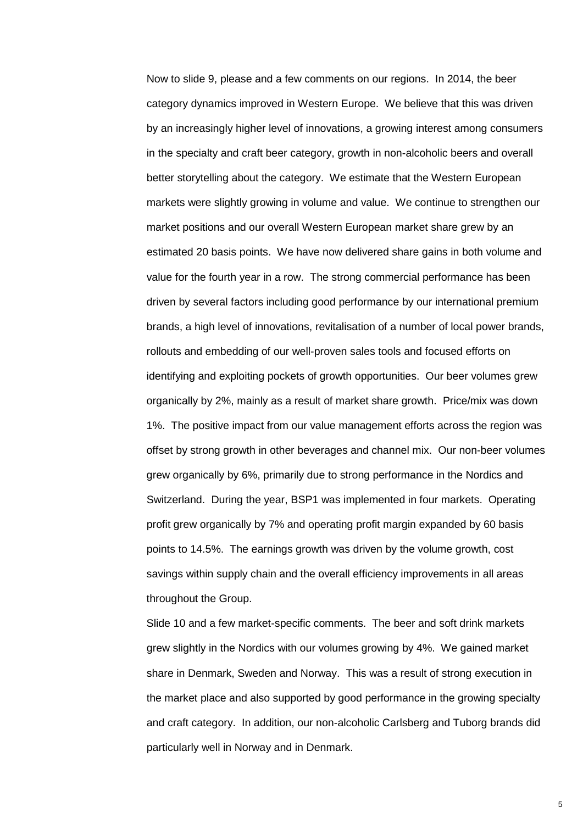Now to slide 9, please and a few comments on our regions. In 2014, the beer category dynamics improved in Western Europe. We believe that this was driven by an increasingly higher level of innovations, a growing interest among consumers in the specialty and craft beer category, growth in non-alcoholic beers and overall better storytelling about the category. We estimate that the Western European markets were slightly growing in volume and value. We continue to strengthen our market positions and our overall Western European market share grew by an estimated 20 basis points. We have now delivered share gains in both volume and value for the fourth year in a row. The strong commercial performance has been driven by several factors including good performance by our international premium brands, a high level of innovations, revitalisation of a number of local power brands, rollouts and embedding of our well-proven sales tools and focused efforts on identifying and exploiting pockets of growth opportunities. Our beer volumes grew organically by 2%, mainly as a result of market share growth. Price/mix was down 1%. The positive impact from our value management efforts across the region was offset by strong growth in other beverages and channel mix. Our non-beer volumes grew organically by 6%, primarily due to strong performance in the Nordics and Switzerland. During the year, BSP1 was implemented in four markets. Operating profit grew organically by 7% and operating profit margin expanded by 60 basis points to 14.5%. The earnings growth was driven by the volume growth, cost savings within supply chain and the overall efficiency improvements in all areas throughout the Group.

Slide 10 and a few market-specific comments. The beer and soft drink markets grew slightly in the Nordics with our volumes growing by 4%. We gained market share in Denmark, Sweden and Norway. This was a result of strong execution in the market place and also supported by good performance in the growing specialty and craft category. In addition, our non-alcoholic Carlsberg and Tuborg brands did particularly well in Norway and in Denmark.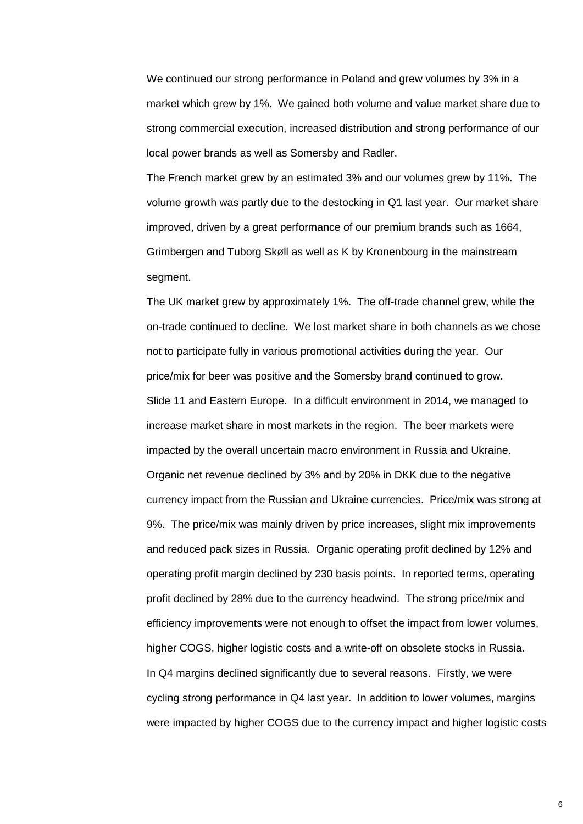We continued our strong performance in Poland and grew volumes by 3% in a market which grew by 1%. We gained both volume and value market share due to strong commercial execution, increased distribution and strong performance of our local power brands as well as Somersby and Radler.

The French market grew by an estimated 3% and our volumes grew by 11%. The volume growth was partly due to the destocking in Q1 last year. Our market share improved, driven by a great performance of our premium brands such as 1664, Grimbergen and Tuborg Skøll as well as K by Kronenbourg in the mainstream segment.

The UK market grew by approximately 1%. The off-trade channel grew, while the on-trade continued to decline. We lost market share in both channels as we chose not to participate fully in various promotional activities during the year. Our price/mix for beer was positive and the Somersby brand continued to grow. Slide 11 and Eastern Europe. In a difficult environment in 2014, we managed to increase market share in most markets in the region. The beer markets were impacted by the overall uncertain macro environment in Russia and Ukraine. Organic net revenue declined by 3% and by 20% in DKK due to the negative currency impact from the Russian and Ukraine currencies. Price/mix was strong at 9%. The price/mix was mainly driven by price increases, slight mix improvements and reduced pack sizes in Russia. Organic operating profit declined by 12% and operating profit margin declined by 230 basis points. In reported terms, operating profit declined by 28% due to the currency headwind. The strong price/mix and efficiency improvements were not enough to offset the impact from lower volumes, higher COGS, higher logistic costs and a write-off on obsolete stocks in Russia. In Q4 margins declined significantly due to several reasons. Firstly, we were cycling strong performance in Q4 last year. In addition to lower volumes, margins were impacted by higher COGS due to the currency impact and higher logistic costs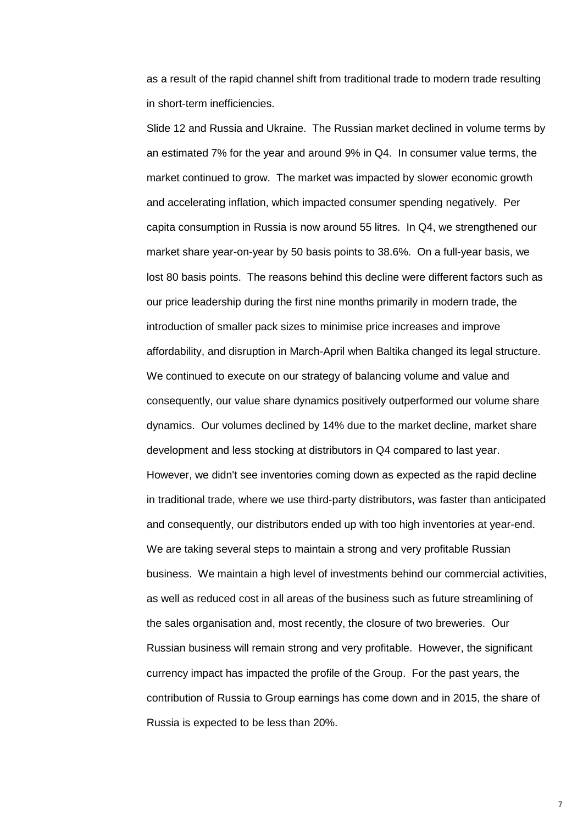as a result of the rapid channel shift from traditional trade to modern trade resulting in short-term inefficiencies.

Slide 12 and Russia and Ukraine. The Russian market declined in volume terms by an estimated 7% for the year and around 9% in Q4. In consumer value terms, the market continued to grow. The market was impacted by slower economic growth and accelerating inflation, which impacted consumer spending negatively. Per capita consumption in Russia is now around 55 litres. In Q4, we strengthened our market share year-on-year by 50 basis points to 38.6%. On a full-year basis, we lost 80 basis points. The reasons behind this decline were different factors such as our price leadership during the first nine months primarily in modern trade, the introduction of smaller pack sizes to minimise price increases and improve affordability, and disruption in March-April when Baltika changed its legal structure. We continued to execute on our strategy of balancing volume and value and consequently, our value share dynamics positively outperformed our volume share dynamics. Our volumes declined by 14% due to the market decline, market share development and less stocking at distributors in Q4 compared to last year. However, we didn't see inventories coming down as expected as the rapid decline in traditional trade, where we use third-party distributors, was faster than anticipated and consequently, our distributors ended up with too high inventories at year-end. We are taking several steps to maintain a strong and very profitable Russian business. We maintain a high level of investments behind our commercial activities, as well as reduced cost in all areas of the business such as future streamlining of the sales organisation and, most recently, the closure of two breweries. Our Russian business will remain strong and very profitable. However, the significant currency impact has impacted the profile of the Group. For the past years, the contribution of Russia to Group earnings has come down and in 2015, the share of Russia is expected to be less than 20%.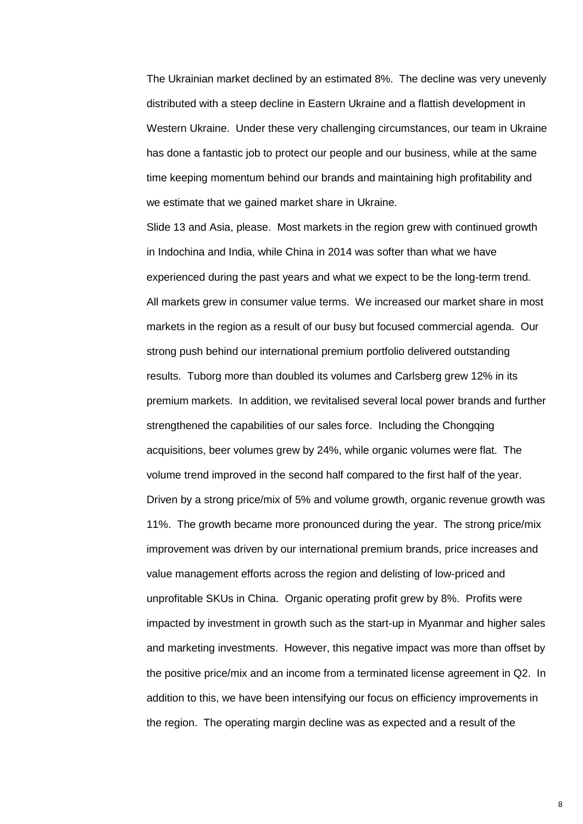The Ukrainian market declined by an estimated 8%. The decline was very unevenly distributed with a steep decline in Eastern Ukraine and a flattish development in Western Ukraine. Under these very challenging circumstances, our team in Ukraine has done a fantastic job to protect our people and our business, while at the same time keeping momentum behind our brands and maintaining high profitability and we estimate that we gained market share in Ukraine.

Slide 13 and Asia, please. Most markets in the region grew with continued growth in Indochina and India, while China in 2014 was softer than what we have experienced during the past years and what we expect to be the long-term trend. All markets grew in consumer value terms. We increased our market share in most markets in the region as a result of our busy but focused commercial agenda. Our strong push behind our international premium portfolio delivered outstanding results. Tuborg more than doubled its volumes and Carlsberg grew 12% in its premium markets. In addition, we revitalised several local power brands and further strengthened the capabilities of our sales force. Including the Chongqing acquisitions, beer volumes grew by 24%, while organic volumes were flat. The volume trend improved in the second half compared to the first half of the year. Driven by a strong price/mix of 5% and volume growth, organic revenue growth was 11%. The growth became more pronounced during the year. The strong price/mix improvement was driven by our international premium brands, price increases and value management efforts across the region and delisting of low-priced and unprofitable SKUs in China. Organic operating profit grew by 8%. Profits were impacted by investment in growth such as the start-up in Myanmar and higher sales and marketing investments. However, this negative impact was more than offset by the positive price/mix and an income from a terminated license agreement in Q2. In addition to this, we have been intensifying our focus on efficiency improvements in the region. The operating margin decline was as expected and a result of the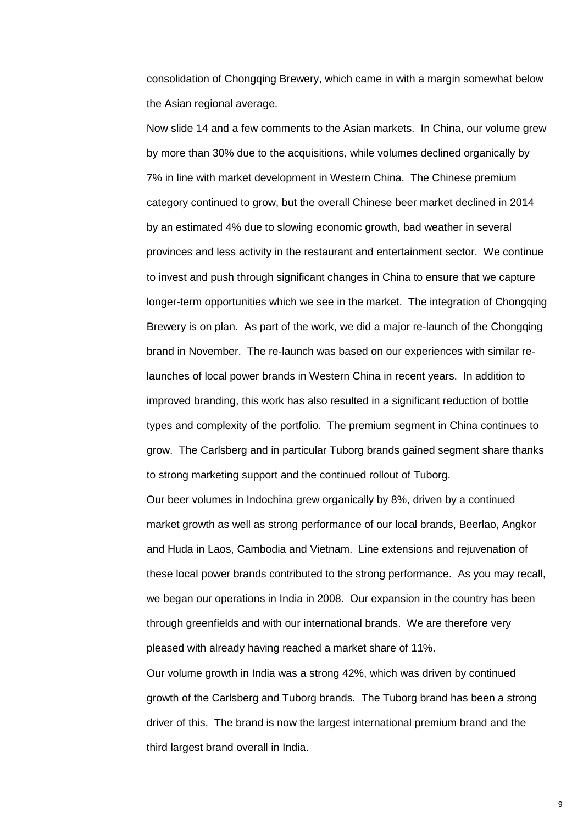consolidation of Chongqing Brewery, which came in with a margin somewhat below the Asian regional average.

Now slide 14 and a few comments to the Asian markets. In China, our volume grew by more than 30% due to the acquisitions, while volumes declined organically by 7% in line with market development in Western China. The Chinese premium category continued to grow, but the overall Chinese beer market declined in 2014 by an estimated 4% due to slowing economic growth, bad weather in several provinces and less activity in the restaurant and entertainment sector. We continue to invest and push through significant changes in China to ensure that we capture longer-term opportunities which we see in the market. The integration of Chongqing Brewery is on plan. As part of the work, we did a major re-launch of the Chongqing brand in November. The re-launch was based on our experiences with similar relaunches of local power brands in Western China in recent years. In addition to improved branding, this work has also resulted in a significant reduction of bottle types and complexity of the portfolio. The premium segment in China continues to grow. The Carlsberg and in particular Tuborg brands gained segment share thanks to strong marketing support and the continued rollout of Tuborg.

Our beer volumes in Indochina grew organically by 8%, driven by a continued market growth as well as strong performance of our local brands, Beerlao, Angkor and Huda in Laos, Cambodia and Vietnam. Line extensions and rejuvenation of these local power brands contributed to the strong performance. As you may recall, we began our operations in India in 2008. Our expansion in the country has been through greenfields and with our international brands. We are therefore very pleased with already having reached a market share of 11%.

Our volume growth in India was a strong 42%, which was driven by continued growth of the Carlsberg and Tuborg brands. The Tuborg brand has been a strong driver of this. The brand is now the largest international premium brand and the third largest brand overall in India.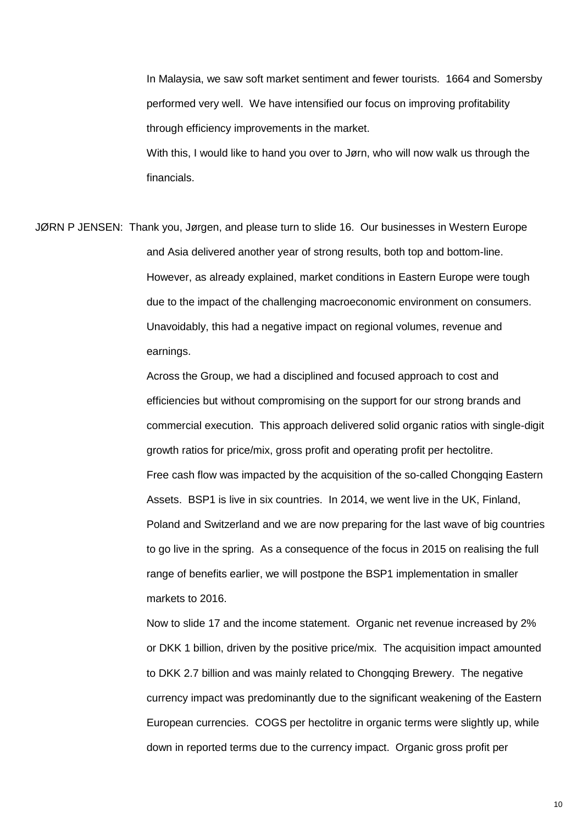In Malaysia, we saw soft market sentiment and fewer tourists. 1664 and Somersby performed very well. We have intensified our focus on improving profitability through efficiency improvements in the market. With this, I would like to hand you over to Jørn, who will now walk us through the financials.

JØRN P JENSEN: Thank you, Jørgen, and please turn to slide 16. Our businesses in Western Europe and Asia delivered another year of strong results, both top and bottom-line. However, as already explained, market conditions in Eastern Europe were tough due to the impact of the challenging macroeconomic environment on consumers. Unavoidably, this had a negative impact on regional volumes, revenue and earnings.

> Across the Group, we had a disciplined and focused approach to cost and efficiencies but without compromising on the support for our strong brands and commercial execution. This approach delivered solid organic ratios with single-digit growth ratios for price/mix, gross profit and operating profit per hectolitre. Free cash flow was impacted by the acquisition of the so-called Chongqing Eastern Assets. BSP1 is live in six countries. In 2014, we went live in the UK, Finland, Poland and Switzerland and we are now preparing for the last wave of big countries to go live in the spring. As a consequence of the focus in 2015 on realising the full range of benefits earlier, we will postpone the BSP1 implementation in smaller markets to 2016.

> Now to slide 17 and the income statement. Organic net revenue increased by 2% or DKK 1 billion, driven by the positive price/mix. The acquisition impact amounted to DKK 2.7 billion and was mainly related to Chongqing Brewery. The negative currency impact was predominantly due to the significant weakening of the Eastern European currencies. COGS per hectolitre in organic terms were slightly up, while down in reported terms due to the currency impact. Organic gross profit per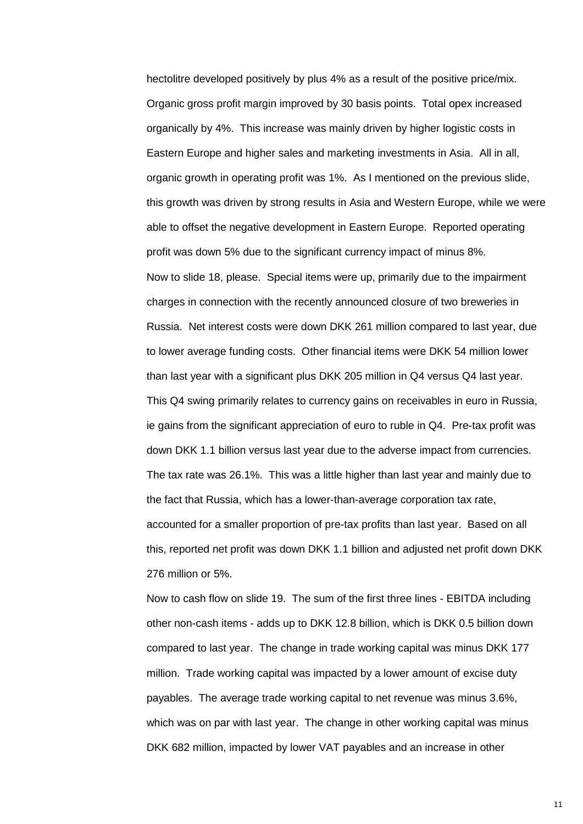hectolitre developed positively by plus 4% as a result of the positive price/mix. Organic gross profit margin improved by 30 basis points. Total opex increased organically by 4%. This increase was mainly driven by higher logistic costs in Eastern Europe and higher sales and marketing investments in Asia. All in all, organic growth in operating profit was 1%. As I mentioned on the previous slide, this growth was driven by strong results in Asia and Western Europe, while we were able to offset the negative development in Eastern Europe. Reported operating profit was down 5% due to the significant currency impact of minus 8%. Now to slide 18, please. Special items were up, primarily due to the impairment charges in connection with the recently announced closure of two breweries in Russia. Net interest costs were down DKK 261 million compared to last year, due to lower average funding costs. Other financial items were DKK 54 million lower than last year with a significant plus DKK 205 million in Q4 versus Q4 last year. This Q4 swing primarily relates to currency gains on receivables in euro in Russia, ie gains from the significant appreciation of euro to ruble in Q4. Pre-tax profit was down DKK 1.1 billion versus last year due to the adverse impact from currencies. The tax rate was 26.1%. This was a little higher than last year and mainly due to the fact that Russia, which has a lower-than-average corporation tax rate, accounted for a smaller proportion of pre-tax profits than last year. Based on all this, reported net profit was down DKK 1.1 billion and adjusted net profit down DKK 276 million or 5%.

Now to cash flow on slide 19. The sum of the first three lines - EBITDA including other non-cash items - adds up to DKK 12.8 billion, which is DKK 0.5 billion down compared to last year. The change in trade working capital was minus DKK 177 million. Trade working capital was impacted by a lower amount of excise duty payables. The average trade working capital to net revenue was minus 3.6%, which was on par with last year. The change in other working capital was minus DKK 682 million, impacted by lower VAT payables and an increase in other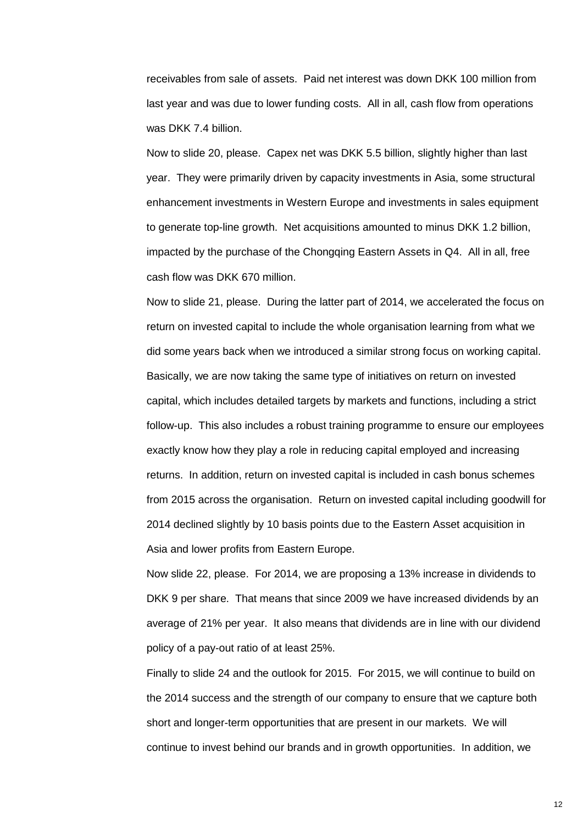receivables from sale of assets. Paid net interest was down DKK 100 million from last year and was due to lower funding costs. All in all, cash flow from operations was DKK 7.4 billion.

Now to slide 20, please. Capex net was DKK 5.5 billion, slightly higher than last year. They were primarily driven by capacity investments in Asia, some structural enhancement investments in Western Europe and investments in sales equipment to generate top-line growth. Net acquisitions amounted to minus DKK 1.2 billion, impacted by the purchase of the Chongqing Eastern Assets in Q4. All in all, free cash flow was DKK 670 million.

Now to slide 21, please. During the latter part of 2014, we accelerated the focus on return on invested capital to include the whole organisation learning from what we did some years back when we introduced a similar strong focus on working capital. Basically, we are now taking the same type of initiatives on return on invested capital, which includes detailed targets by markets and functions, including a strict follow-up. This also includes a robust training programme to ensure our employees exactly know how they play a role in reducing capital employed and increasing returns. In addition, return on invested capital is included in cash bonus schemes from 2015 across the organisation. Return on invested capital including goodwill for 2014 declined slightly by 10 basis points due to the Eastern Asset acquisition in Asia and lower profits from Eastern Europe.

Now slide 22, please. For 2014, we are proposing a 13% increase in dividends to DKK 9 per share. That means that since 2009 we have increased dividends by an average of 21% per year. It also means that dividends are in line with our dividend policy of a pay-out ratio of at least 25%.

Finally to slide 24 and the outlook for 2015. For 2015, we will continue to build on the 2014 success and the strength of our company to ensure that we capture both short and longer-term opportunities that are present in our markets. We will continue to invest behind our brands and in growth opportunities. In addition, we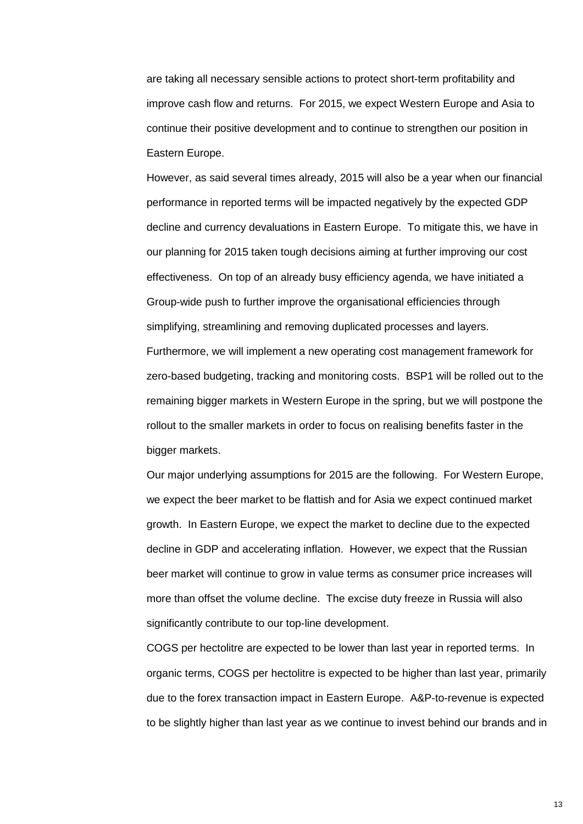are taking all necessary sensible actions to protect short-term profitability and improve cash flow and returns. For 2015, we expect Western Europe and Asia to continue their positive development and to continue to strengthen our position in Eastern Europe.

However, as said several times already, 2015 will also be a year when our financial performance in reported terms will be impacted negatively by the expected GDP decline and currency devaluations in Eastern Europe. To mitigate this, we have in our planning for 2015 taken tough decisions aiming at further improving our cost effectiveness. On top of an already busy efficiency agenda, we have initiated a Group-wide push to further improve the organisational efficiencies through simplifying, streamlining and removing duplicated processes and layers. Furthermore, we will implement a new operating cost management framework for zero-based budgeting, tracking and monitoring costs. BSP1 will be rolled out to the remaining bigger markets in Western Europe in the spring, but we will postpone the rollout to the smaller markets in order to focus on realising benefits faster in the bigger markets.

Our major underlying assumptions for 2015 are the following. For Western Europe, we expect the beer market to be flattish and for Asia we expect continued market growth. In Eastern Europe, we expect the market to decline due to the expected decline in GDP and accelerating inflation. However, we expect that the Russian beer market will continue to grow in value terms as consumer price increases will more than offset the volume decline. The excise duty freeze in Russia will also significantly contribute to our top-line development.

COGS per hectolitre are expected to be lower than last year in reported terms. In organic terms, COGS per hectolitre is expected to be higher than last year, primarily due to the forex transaction impact in Eastern Europe. A&P-to-revenue is expected to be slightly higher than last year as we continue to invest behind our brands and in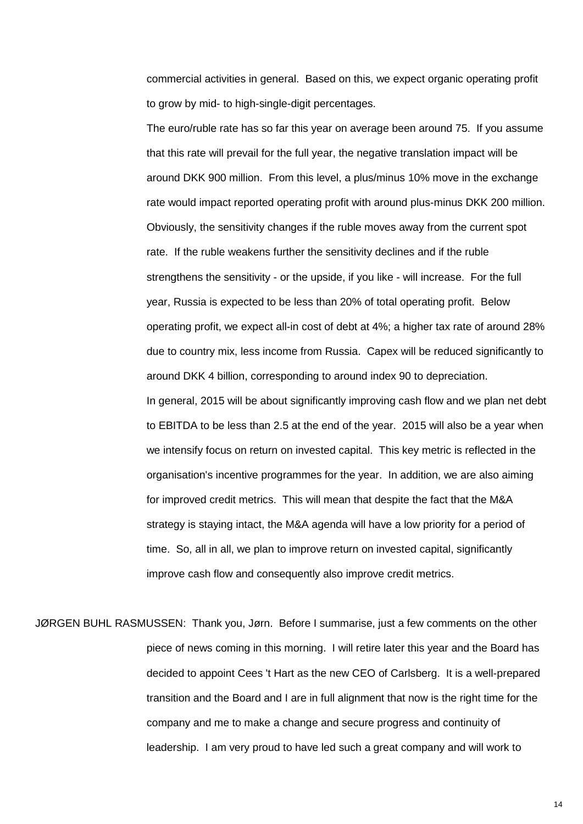commercial activities in general. Based on this, we expect organic operating profit to grow by mid- to high-single-digit percentages.

The euro/ruble rate has so far this year on average been around 75. If you assume that this rate will prevail for the full year, the negative translation impact will be around DKK 900 million. From this level, a plus/minus 10% move in the exchange rate would impact reported operating profit with around plus-minus DKK 200 million. Obviously, the sensitivity changes if the ruble moves away from the current spot rate. If the ruble weakens further the sensitivity declines and if the ruble strengthens the sensitivity - or the upside, if you like - will increase. For the full year, Russia is expected to be less than 20% of total operating profit. Below operating profit, we expect all-in cost of debt at 4%; a higher tax rate of around 28% due to country mix, less income from Russia. Capex will be reduced significantly to around DKK 4 billion, corresponding to around index 90 to depreciation. In general, 2015 will be about significantly improving cash flow and we plan net debt to EBITDA to be less than 2.5 at the end of the year. 2015 will also be a year when we intensify focus on return on invested capital. This key metric is reflected in the organisation's incentive programmes for the year. In addition, we are also aiming for improved credit metrics. This will mean that despite the fact that the M&A strategy is staying intact, the M&A agenda will have a low priority for a period of time. So, all in all, we plan to improve return on invested capital, significantly improve cash flow and consequently also improve credit metrics.

JØRGEN BUHL RASMUSSEN: Thank you, Jørn. Before I summarise, just a few comments on the other piece of news coming in this morning. I will retire later this year and the Board has decided to appoint Cees 't Hart as the new CEO of Carlsberg. It is a well-prepared transition and the Board and I are in full alignment that now is the right time for the company and me to make a change and secure progress and continuity of leadership. I am very proud to have led such a great company and will work to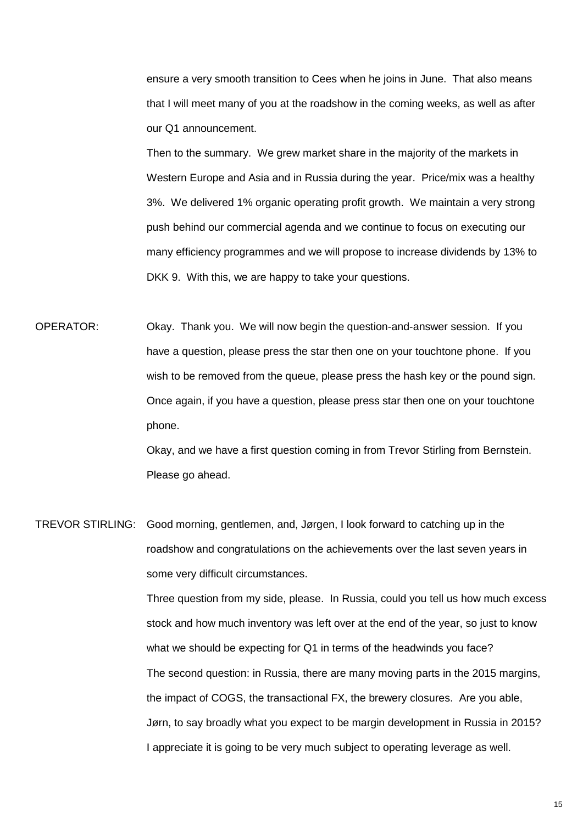ensure a very smooth transition to Cees when he joins in June. That also means that I will meet many of you at the roadshow in the coming weeks, as well as after our Q1 announcement.

Then to the summary. We grew market share in the majority of the markets in Western Europe and Asia and in Russia during the year. Price/mix was a healthy 3%. We delivered 1% organic operating profit growth. We maintain a very strong push behind our commercial agenda and we continue to focus on executing our many efficiency programmes and we will propose to increase dividends by 13% to DKK 9. With this, we are happy to take your questions.

OPERATOR: Okay. Thank you. We will now begin the question-and-answer session. If you have a question, please press the star then one on your touchtone phone. If you wish to be removed from the queue, please press the hash key or the pound sign. Once again, if you have a question, please press star then one on your touchtone phone.

> Okay, and we have a first question coming in from Trevor Stirling from Bernstein. Please go ahead.

TREVOR STIRLING: Good morning, gentlemen, and, Jørgen, I look forward to catching up in the roadshow and congratulations on the achievements over the last seven years in some very difficult circumstances.

> Three question from my side, please. In Russia, could you tell us how much excess stock and how much inventory was left over at the end of the year, so just to know what we should be expecting for Q1 in terms of the headwinds you face? The second question: in Russia, there are many moving parts in the 2015 margins, the impact of COGS, the transactional FX, the brewery closures. Are you able, Jørn, to say broadly what you expect to be margin development in Russia in 2015? I appreciate it is going to be very much subject to operating leverage as well.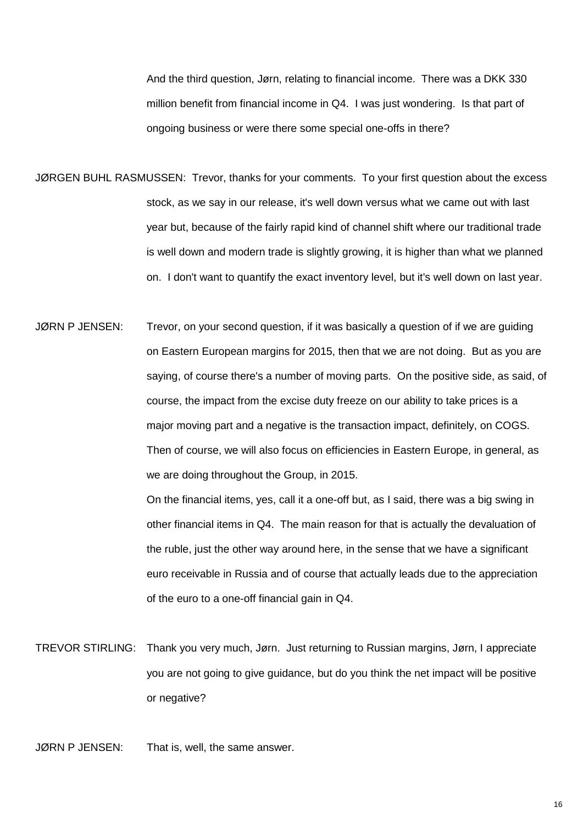And the third question, Jørn, relating to financial income. There was a DKK 330 million benefit from financial income in Q4. I was just wondering. Is that part of ongoing business or were there some special one-offs in there?

- JØRGEN BUHL RASMUSSEN: Trevor, thanks for your comments. To your first question about the excess stock, as we say in our release, it's well down versus what we came out with last year but, because of the fairly rapid kind of channel shift where our traditional trade is well down and modern trade is slightly growing, it is higher than what we planned on. I don't want to quantify the exact inventory level, but it's well down on last year.
- JØRN P JENSEN: Trevor, on your second question, if it was basically a question of if we are guiding on Eastern European margins for 2015, then that we are not doing. But as you are saying, of course there's a number of moving parts. On the positive side, as said, of course, the impact from the excise duty freeze on our ability to take prices is a major moving part and a negative is the transaction impact, definitely, on COGS. Then of course, we will also focus on efficiencies in Eastern Europe, in general, as we are doing throughout the Group, in 2015.

On the financial items, yes, call it a one-off but, as I said, there was a big swing in other financial items in Q4. The main reason for that is actually the devaluation of the ruble, just the other way around here, in the sense that we have a significant euro receivable in Russia and of course that actually leads due to the appreciation of the euro to a one-off financial gain in Q4.

TREVOR STIRLING: Thank you very much, Jørn. Just returning to Russian margins, Jørn, I appreciate you are not going to give guidance, but do you think the net impact will be positive or negative?

JØRN P JENSEN: That is, well, the same answer.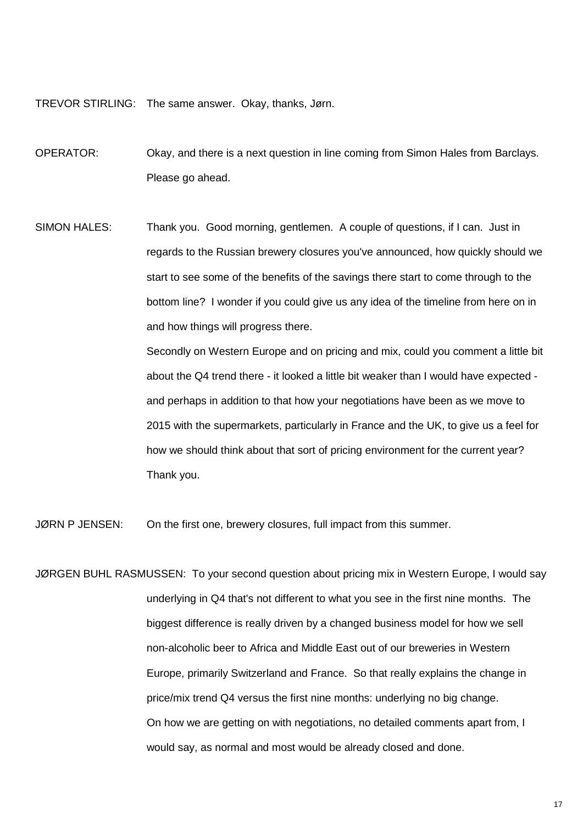TREVOR STIRLING: The same answer. Okay, thanks, Jørn.

OPERATOR: Okay, and there is a next question in line coming from Simon Hales from Barclays. Please go ahead.

SIMON HALES: Thank you. Good morning, gentlemen. A couple of questions, if I can. Just in regards to the Russian brewery closures you've announced, how quickly should we start to see some of the benefits of the savings there start to come through to the bottom line? I wonder if you could give us any idea of the timeline from here on in and how things will progress there.

> Secondly on Western Europe and on pricing and mix, could you comment a little bit about the Q4 trend there - it looked a little bit weaker than I would have expected and perhaps in addition to that how your negotiations have been as we move to 2015 with the supermarkets, particularly in France and the UK, to give us a feel for how we should think about that sort of pricing environment for the current year? Thank you.

JØRN P JENSEN: On the first one, brewery closures, full impact from this summer.

JØRGEN BUHL RASMUSSEN: To your second question about pricing mix in Western Europe, I would say underlying in Q4 that's not different to what you see in the first nine months. The biggest difference is really driven by a changed business model for how we sell non-alcoholic beer to Africa and Middle East out of our breweries in Western Europe, primarily Switzerland and France. So that really explains the change in price/mix trend Q4 versus the first nine months: underlying no big change. On how we are getting on with negotiations, no detailed comments apart from, I would say, as normal and most would be already closed and done.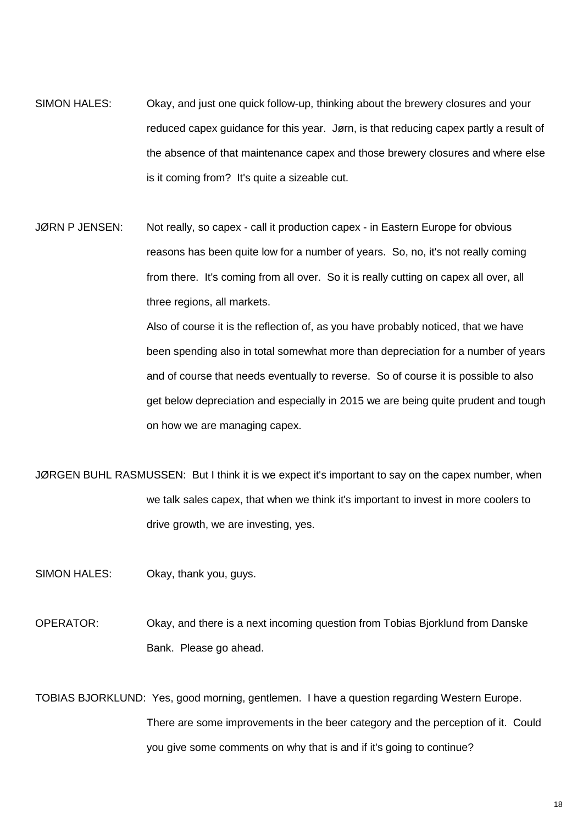- SIMON HALES: Okay, and just one quick follow-up, thinking about the brewery closures and your reduced capex guidance for this year. Jørn, is that reducing capex partly a result of the absence of that maintenance capex and those brewery closures and where else is it coming from? It's quite a sizeable cut.
- JØRN P JENSEN: Not really, so capex call it production capex in Eastern Europe for obvious reasons has been quite low for a number of years. So, no, it's not really coming from there. It's coming from all over. So it is really cutting on capex all over, all three regions, all markets.

Also of course it is the reflection of, as you have probably noticed, that we have been spending also in total somewhat more than depreciation for a number of years and of course that needs eventually to reverse. So of course it is possible to also get below depreciation and especially in 2015 we are being quite prudent and tough on how we are managing capex.

JØRGEN BUHL RASMUSSEN: But I think it is we expect it's important to say on the capex number, when we talk sales capex, that when we think it's important to invest in more coolers to drive growth, we are investing, yes.

SIMON HALES: Okay, thank you, guys.

- OPERATOR: Okay, and there is a next incoming question from Tobias Bjorklund from Danske Bank. Please go ahead.
- TOBIAS BJORKLUND: Yes, good morning, gentlemen. I have a question regarding Western Europe. There are some improvements in the beer category and the perception of it. Could you give some comments on why that is and if it's going to continue?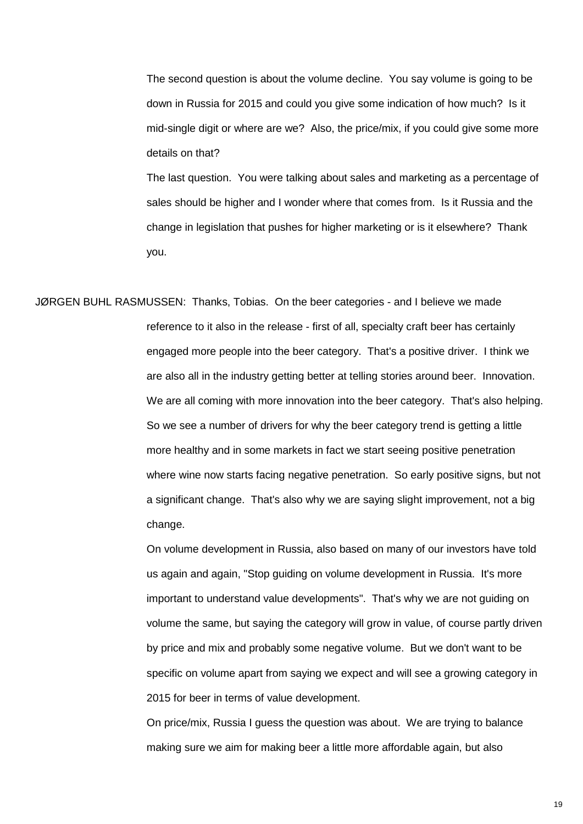The second question is about the volume decline. You say volume is going to be down in Russia for 2015 and could you give some indication of how much? Is it mid-single digit or where are we? Also, the price/mix, if you could give some more details on that?

The last question. You were talking about sales and marketing as a percentage of sales should be higher and I wonder where that comes from. Is it Russia and the change in legislation that pushes for higher marketing or is it elsewhere? Thank you.

JØRGEN BUHL RASMUSSEN: Thanks, Tobias. On the beer categories - and I believe we made reference to it also in the release - first of all, specialty craft beer has certainly engaged more people into the beer category. That's a positive driver. I think we are also all in the industry getting better at telling stories around beer. Innovation. We are all coming with more innovation into the beer category. That's also helping. So we see a number of drivers for why the beer category trend is getting a little more healthy and in some markets in fact we start seeing positive penetration where wine now starts facing negative penetration. So early positive signs, but not a significant change. That's also why we are saying slight improvement, not a big change.

> On volume development in Russia, also based on many of our investors have told us again and again, "Stop guiding on volume development in Russia. It's more important to understand value developments". That's why we are not guiding on volume the same, but saying the category will grow in value, of course partly driven by price and mix and probably some negative volume. But we don't want to be specific on volume apart from saying we expect and will see a growing category in 2015 for beer in terms of value development.

On price/mix, Russia I guess the question was about. We are trying to balance making sure we aim for making beer a little more affordable again, but also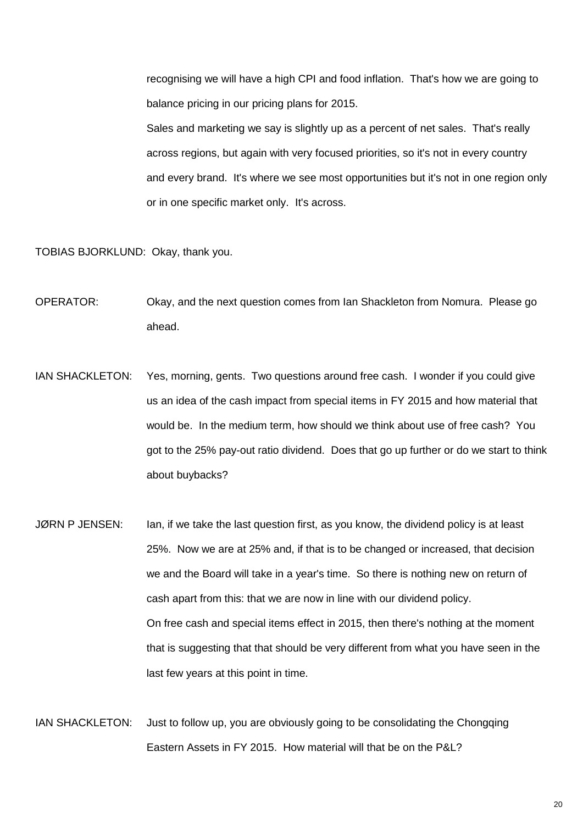recognising we will have a high CPI and food inflation. That's how we are going to balance pricing in our pricing plans for 2015.

Sales and marketing we say is slightly up as a percent of net sales. That's really across regions, but again with very focused priorities, so it's not in every country and every brand. It's where we see most opportunities but it's not in one region only or in one specific market only. It's across.

TOBIAS BJORKLUND: Okay, thank you.

- OPERATOR: Okay, and the next question comes from Ian Shackleton from Nomura. Please go ahead.
- IAN SHACKLETON: Yes, morning, gents. Two questions around free cash. I wonder if you could give us an idea of the cash impact from special items in FY 2015 and how material that would be. In the medium term, how should we think about use of free cash? You got to the 25% pay-out ratio dividend. Does that go up further or do we start to think about buybacks?
- JØRN P JENSEN: Ian, if we take the last question first, as you know, the dividend policy is at least 25%. Now we are at 25% and, if that is to be changed or increased, that decision we and the Board will take in a year's time. So there is nothing new on return of cash apart from this: that we are now in line with our dividend policy. On free cash and special items effect in 2015, then there's nothing at the moment that is suggesting that that should be very different from what you have seen in the last few years at this point in time.
- IAN SHACKLETON: Just to follow up, you are obviously going to be consolidating the Chongqing Eastern Assets in FY 2015. How material will that be on the P&L?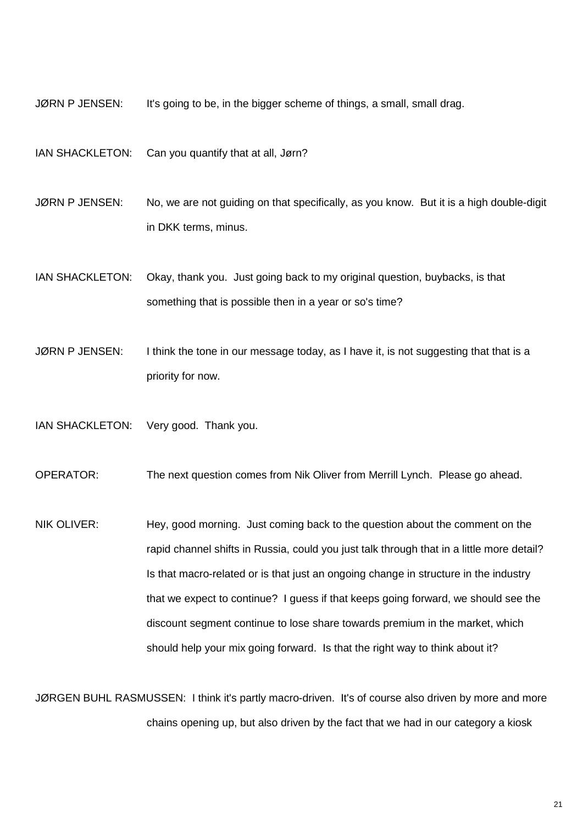JØRN P JENSEN: It's going to be, in the bigger scheme of things, a small, small drag.

IAN SHACKLETON: Can you quantify that at all, Jørn?

JØRN P JENSEN: No, we are not quiding on that specifically, as you know. But it is a high double-digit in DKK terms, minus.

IAN SHACKLETON: Okay, thank you. Just going back to my original question, buybacks, is that something that is possible then in a year or so's time?

JØRN P JENSEN: I think the tone in our message today, as I have it, is not suggesting that that is a priority for now.

IAN SHACKLETON: Very good. Thank you.

OPERATOR: The next question comes from Nik Oliver from Merrill Lynch. Please go ahead.

NIK OLIVER: Hey, good morning. Just coming back to the question about the comment on the rapid channel shifts in Russia, could you just talk through that in a little more detail? Is that macro-related or is that just an ongoing change in structure in the industry that we expect to continue? I guess if that keeps going forward, we should see the discount segment continue to lose share towards premium in the market, which should help your mix going forward. Is that the right way to think about it?

JØRGEN BUHL RASMUSSEN: I think it's partly macro-driven. It's of course also driven by more and more chains opening up, but also driven by the fact that we had in our category a kiosk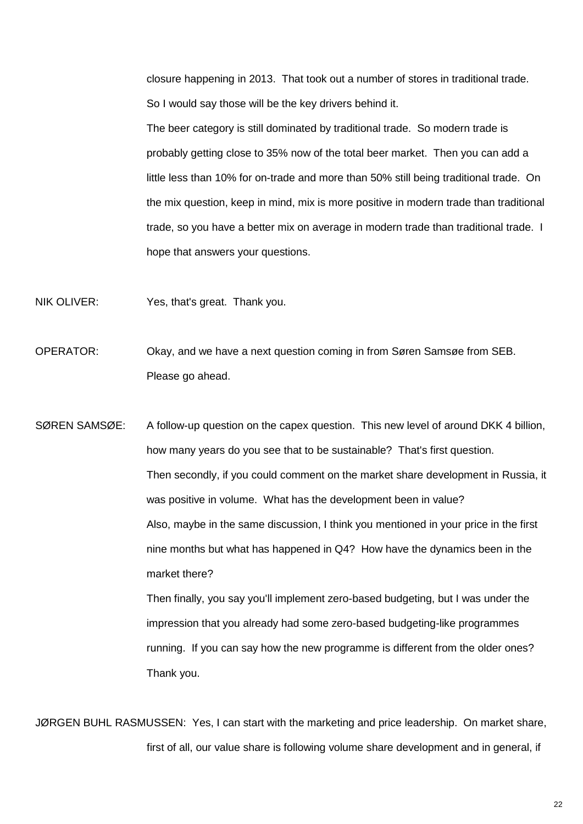closure happening in 2013. That took out a number of stores in traditional trade. So I would say those will be the key drivers behind it.

The beer category is still dominated by traditional trade. So modern trade is probably getting close to 35% now of the total beer market. Then you can add a little less than 10% for on-trade and more than 50% still being traditional trade. On the mix question, keep in mind, mix is more positive in modern trade than traditional trade, so you have a better mix on average in modern trade than traditional trade. I hope that answers your questions.

- NIK OLIVER: Yes, that's great. Thank you.
- OPERATOR: Okay, and we have a next question coming in from Søren Samsøe from SEB. Please go ahead.

SØREN SAMSØE: A follow-up question on the capex question. This new level of around DKK 4 billion, how many years do you see that to be sustainable? That's first question. Then secondly, if you could comment on the market share development in Russia, it was positive in volume. What has the development been in value? Also, maybe in the same discussion, I think you mentioned in your price in the first nine months but what has happened in Q4? How have the dynamics been in the market there? Then finally, you say you'll implement zero-based budgeting, but I was under the

impression that you already had some zero-based budgeting-like programmes running. If you can say how the new programme is different from the older ones? Thank you.

JØRGEN BUHL RASMUSSEN: Yes, I can start with the marketing and price leadership. On market share, first of all, our value share is following volume share development and in general, if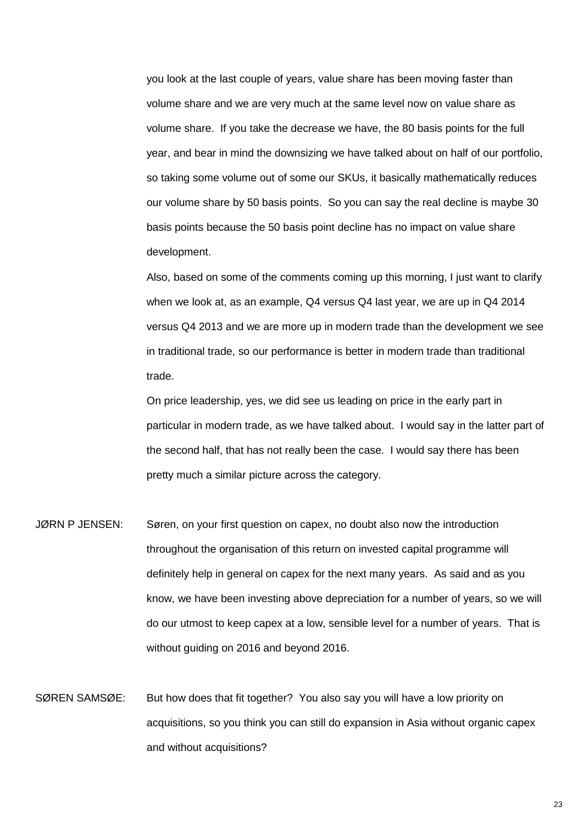you look at the last couple of years, value share has been moving faster than volume share and we are very much at the same level now on value share as volume share. If you take the decrease we have, the 80 basis points for the full year, and bear in mind the downsizing we have talked about on half of our portfolio, so taking some volume out of some our SKUs, it basically mathematically reduces our volume share by 50 basis points. So you can say the real decline is maybe 30 basis points because the 50 basis point decline has no impact on value share development.

Also, based on some of the comments coming up this morning, I just want to clarify when we look at, as an example, Q4 versus Q4 last year, we are up in Q4 2014 versus Q4 2013 and we are more up in modern trade than the development we see in traditional trade, so our performance is better in modern trade than traditional trade.

On price leadership, yes, we did see us leading on price in the early part in particular in modern trade, as we have talked about. I would say in the latter part of the second half, that has not really been the case. I would say there has been pretty much a similar picture across the category.

- JØRN P JENSEN: Søren, on your first question on capex, no doubt also now the introduction throughout the organisation of this return on invested capital programme will definitely help in general on capex for the next many years. As said and as you know, we have been investing above depreciation for a number of years, so we will do our utmost to keep capex at a low, sensible level for a number of years. That is without guiding on 2016 and beyond 2016.
- SØREN SAMSØE: But how does that fit together? You also say you will have a low priority on acquisitions, so you think you can still do expansion in Asia without organic capex and without acquisitions?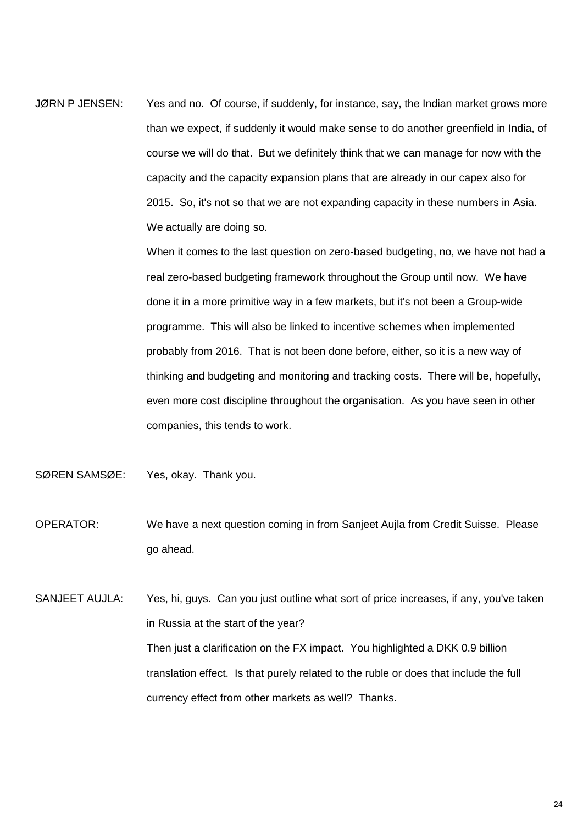JØRN P JENSEN: Yes and no. Of course, if suddenly, for instance, say, the Indian market grows more than we expect, if suddenly it would make sense to do another greenfield in India, of course we will do that. But we definitely think that we can manage for now with the capacity and the capacity expansion plans that are already in our capex also for 2015. So, it's not so that we are not expanding capacity in these numbers in Asia. We actually are doing so.

> When it comes to the last question on zero-based budgeting, no, we have not had a real zero-based budgeting framework throughout the Group until now. We have done it in a more primitive way in a few markets, but it's not been a Group-wide programme. This will also be linked to incentive schemes when implemented probably from 2016. That is not been done before, either, so it is a new way of thinking and budgeting and monitoring and tracking costs. There will be, hopefully, even more cost discipline throughout the organisation. As you have seen in other companies, this tends to work.

- SØREN SAMSØE: Yes, okay. Thank you.
- OPERATOR: We have a next question coming in from Sanjeet Aujla from Credit Suisse. Please go ahead.

SANJEET AUJLA: Yes, hi, guys. Can you just outline what sort of price increases, if any, you've taken in Russia at the start of the year? Then just a clarification on the FX impact. You highlighted a DKK 0.9 billion translation effect. Is that purely related to the ruble or does that include the full currency effect from other markets as well? Thanks.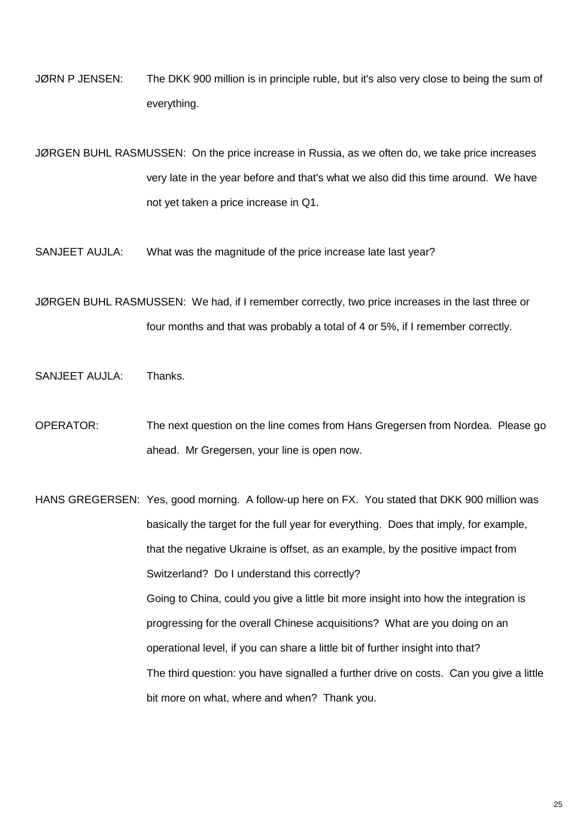JØRN P JENSEN: The DKK 900 million is in principle ruble, but it's also very close to being the sum of everything.

JØRGEN BUHL RASMUSSEN: On the price increase in Russia, as we often do, we take price increases very late in the year before and that's what we also did this time around. We have not yet taken a price increase in Q1.

SANJEET AUJLA: What was the magnitude of the price increase late last year?

JØRGEN BUHL RASMUSSEN: We had, if I remember correctly, two price increases in the last three or four months and that was probably a total of 4 or 5%, if I remember correctly.

SANJEET AUJLA: Thanks.

OPERATOR: The next question on the line comes from Hans Gregersen from Nordea. Please go ahead. Mr Gregersen, your line is open now.

HANS GREGERSEN: Yes, good morning. A follow-up here on FX. You stated that DKK 900 million was basically the target for the full year for everything. Does that imply, for example, that the negative Ukraine is offset, as an example, by the positive impact from Switzerland? Do I understand this correctly? Going to China, could you give a little bit more insight into how the integration is progressing for the overall Chinese acquisitions? What are you doing on an operational level, if you can share a little bit of further insight into that? The third question: you have signalled a further drive on costs. Can you give a little bit more on what, where and when? Thank you.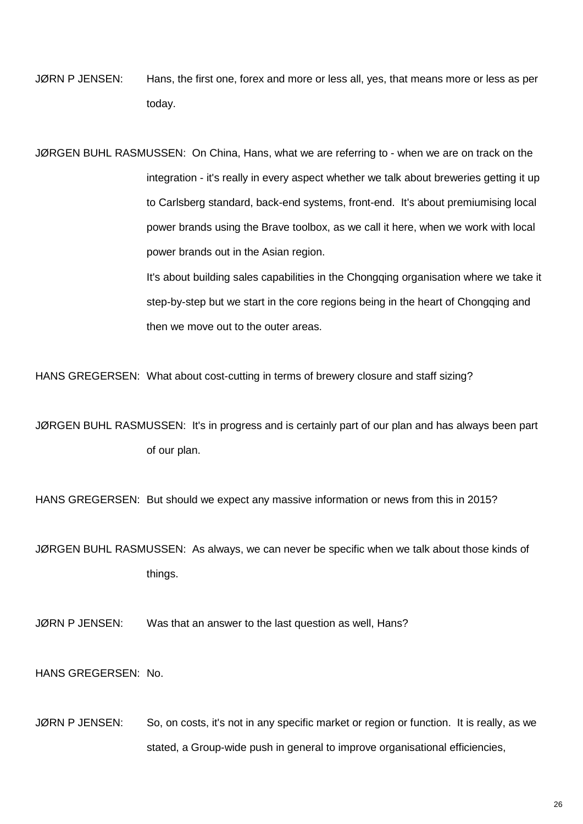JØRN P JENSEN: Hans, the first one, forex and more or less all, yes, that means more or less as per today.

JØRGEN BUHL RASMUSSEN: On China, Hans, what we are referring to - when we are on track on the integration - it's really in every aspect whether we talk about breweries getting it up to Carlsberg standard, back-end systems, front-end. It's about premiumising local power brands using the Brave toolbox, as we call it here, when we work with local power brands out in the Asian region.

> It's about building sales capabilities in the Chongqing organisation where we take it step-by-step but we start in the core regions being in the heart of Chongqing and then we move out to the outer areas.

HANS GREGERSEN: What about cost-cutting in terms of brewery closure and staff sizing?

JØRGEN BUHL RASMUSSEN: It's in progress and is certainly part of our plan and has always been part of our plan.

HANS GREGERSEN: But should we expect any massive information or news from this in 2015?

JØRGEN BUHL RASMUSSEN: As always, we can never be specific when we talk about those kinds of things.

JØRN P JENSEN: Was that an answer to the last question as well, Hans?

HANS GREGERSEN: No.

JØRN P JENSEN: So, on costs, it's not in any specific market or region or function. It is really, as we stated, a Group-wide push in general to improve organisational efficiencies,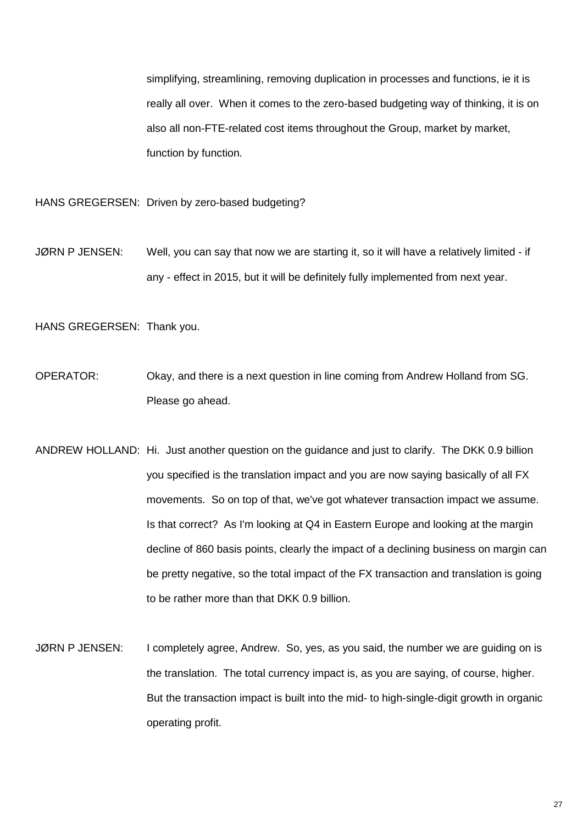simplifying, streamlining, removing duplication in processes and functions, ie it is really all over. When it comes to the zero-based budgeting way of thinking, it is on also all non-FTE-related cost items throughout the Group, market by market, function by function.

HANS GREGERSEN: Driven by zero-based budgeting?

JØRN P JENSEN: Well, you can say that now we are starting it, so it will have a relatively limited - if any - effect in 2015, but it will be definitely fully implemented from next year.

HANS GREGERSEN: Thank you.

- OPERATOR: Okay, and there is a next question in line coming from Andrew Holland from SG. Please go ahead.
- ANDREW HOLLAND: Hi. Just another question on the guidance and just to clarify. The DKK 0.9 billion you specified is the translation impact and you are now saying basically of all FX movements. So on top of that, we've got whatever transaction impact we assume. Is that correct? As I'm looking at Q4 in Eastern Europe and looking at the margin decline of 860 basis points, clearly the impact of a declining business on margin can be pretty negative, so the total impact of the FX transaction and translation is going to be rather more than that DKK 0.9 billion.
- JØRN P JENSEN: I completely agree, Andrew. So, yes, as you said, the number we are guiding on is the translation. The total currency impact is, as you are saying, of course, higher. But the transaction impact is built into the mid- to high-single-digit growth in organic operating profit.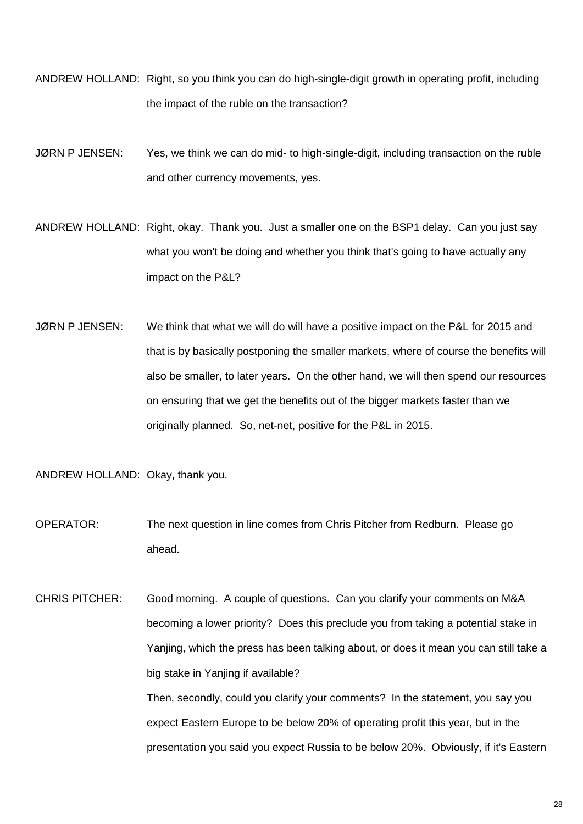- ANDREW HOLLAND: Right, so you think you can do high-single-digit growth in operating profit, including the impact of the ruble on the transaction?
- JØRN P JENSEN: Yes, we think we can do mid- to high-single-digit, including transaction on the ruble and other currency movements, yes.
- ANDREW HOLLAND: Right, okay. Thank you. Just a smaller one on the BSP1 delay. Can you just say what you won't be doing and whether you think that's going to have actually any impact on the P&L?
- JØRN P JENSEN: We think that what we will do will have a positive impact on the P&L for 2015 and that is by basically postponing the smaller markets, where of course the benefits will also be smaller, to later years. On the other hand, we will then spend our resources on ensuring that we get the benefits out of the bigger markets faster than we originally planned. So, net-net, positive for the P&L in 2015.
- ANDREW HOLLAND: Okay, thank you.
- OPERATOR: The next question in line comes from Chris Pitcher from Redburn. Please go ahead.
- CHRIS PITCHER: Good morning. A couple of questions. Can you clarify your comments on M&A becoming a lower priority? Does this preclude you from taking a potential stake in Yanjing, which the press has been talking about, or does it mean you can still take a big stake in Yanjing if available? Then, secondly, could you clarify your comments? In the statement, you say you expect Eastern Europe to be below 20% of operating profit this year, but in the presentation you said you expect Russia to be below 20%. Obviously, if it's Eastern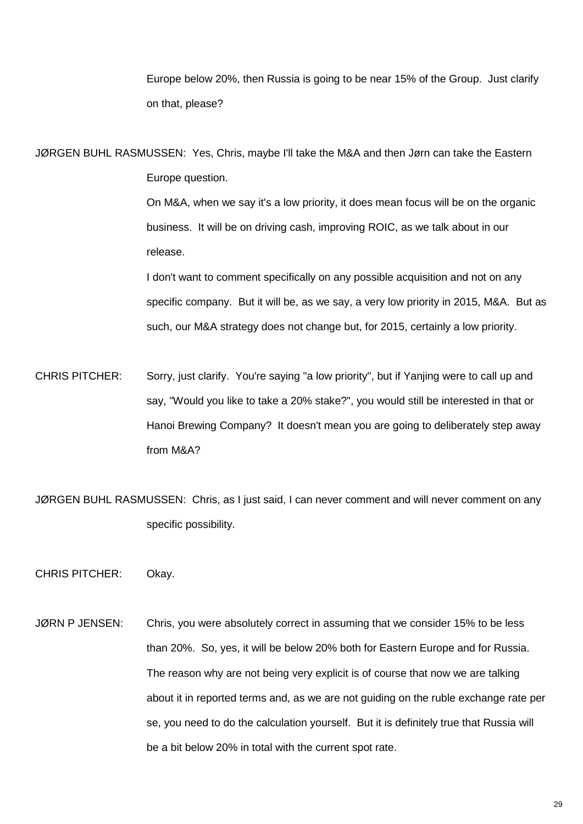Europe below 20%, then Russia is going to be near 15% of the Group. Just clarify on that, please?

JØRGEN BUHL RASMUSSEN: Yes, Chris, maybe I'll take the M&A and then Jørn can take the Eastern Europe question.

> On M&A, when we say it's a low priority, it does mean focus will be on the organic business. It will be on driving cash, improving ROIC, as we talk about in our release.

I don't want to comment specifically on any possible acquisition and not on any specific company. But it will be, as we say, a very low priority in 2015, M&A. But as such, our M&A strategy does not change but, for 2015, certainly a low priority.

- CHRIS PITCHER: Sorry, just clarify. You're saying "a low priority", but if Yanjing were to call up and say, "Would you like to take a 20% stake?", you would still be interested in that or Hanoi Brewing Company? It doesn't mean you are going to deliberately step away from M&A?
- JØRGEN BUHL RASMUSSEN: Chris, as I just said, I can never comment and will never comment on any specific possibility.
- CHRIS PITCHER: Okay.
- JØRN P JENSEN: Chris, you were absolutely correct in assuming that we consider 15% to be less than 20%. So, yes, it will be below 20% both for Eastern Europe and for Russia. The reason why are not being very explicit is of course that now we are talking about it in reported terms and, as we are not guiding on the ruble exchange rate per se, you need to do the calculation yourself. But it is definitely true that Russia will be a bit below 20% in total with the current spot rate.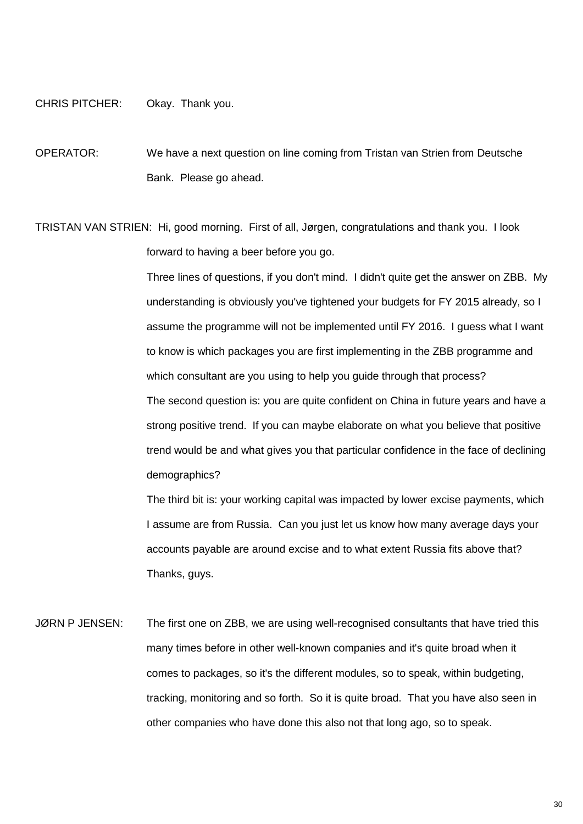## CHRIS PITCHER: Okay. Thank you.

OPERATOR: We have a next question on line coming from Tristan van Strien from Deutsche Bank. Please go ahead.

TRISTAN VAN STRIEN: Hi, good morning. First of all, Jørgen, congratulations and thank you. I look forward to having a beer before you go.

> Three lines of questions, if you don't mind. I didn't quite get the answer on ZBB. My understanding is obviously you've tightened your budgets for FY 2015 already, so I assume the programme will not be implemented until FY 2016. I guess what I want to know is which packages you are first implementing in the ZBB programme and which consultant are you using to help you guide through that process? The second question is: you are quite confident on China in future years and have a strong positive trend. If you can maybe elaborate on what you believe that positive trend would be and what gives you that particular confidence in the face of declining demographics?

> The third bit is: your working capital was impacted by lower excise payments, which I assume are from Russia. Can you just let us know how many average days your accounts payable are around excise and to what extent Russia fits above that? Thanks, guys.

JØRN P JENSEN: The first one on ZBB, we are using well-recognised consultants that have tried this many times before in other well-known companies and it's quite broad when it comes to packages, so it's the different modules, so to speak, within budgeting, tracking, monitoring and so forth. So it is quite broad. That you have also seen in other companies who have done this also not that long ago, so to speak.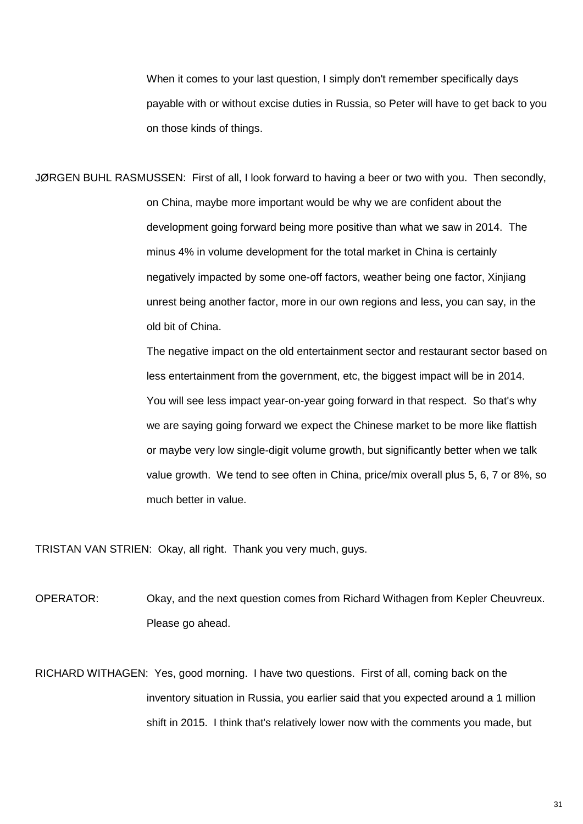When it comes to your last question, I simply don't remember specifically days payable with or without excise duties in Russia, so Peter will have to get back to you on those kinds of things.

JØRGEN BUHL RASMUSSEN: First of all, I look forward to having a beer or two with you. Then secondly, on China, maybe more important would be why we are confident about the development going forward being more positive than what we saw in 2014. The minus 4% in volume development for the total market in China is certainly negatively impacted by some one-off factors, weather being one factor, Xinjiang unrest being another factor, more in our own regions and less, you can say, in the old bit of China.

> The negative impact on the old entertainment sector and restaurant sector based on less entertainment from the government, etc, the biggest impact will be in 2014. You will see less impact year-on-year going forward in that respect. So that's why we are saying going forward we expect the Chinese market to be more like flattish or maybe very low single-digit volume growth, but significantly better when we talk value growth. We tend to see often in China, price/mix overall plus 5, 6, 7 or 8%, so much better in value.

TRISTAN VAN STRIEN: Okay, all right. Thank you very much, guys.

OPERATOR: Okay, and the next question comes from Richard Withagen from Kepler Cheuvreux. Please go ahead.

RICHARD WITHAGEN: Yes, good morning. I have two questions. First of all, coming back on the inventory situation in Russia, you earlier said that you expected around a 1 million shift in 2015. I think that's relatively lower now with the comments you made, but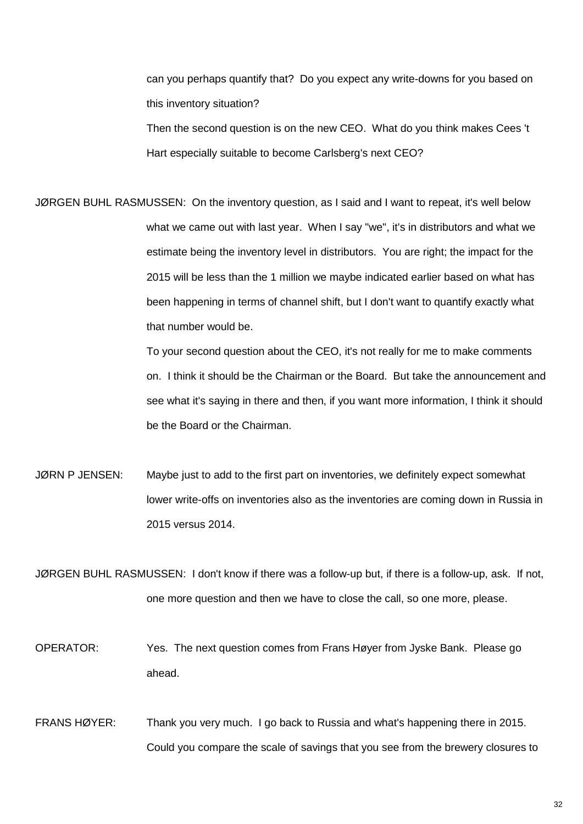can you perhaps quantify that? Do you expect any write-downs for you based on this inventory situation?

Then the second question is on the new CEO. What do you think makes Cees 't Hart especially suitable to become Carlsberg's next CEO?

JØRGEN BUHL RASMUSSEN: On the inventory question, as I said and I want to repeat, it's well below what we came out with last year. When I say "we", it's in distributors and what we estimate being the inventory level in distributors. You are right; the impact for the 2015 will be less than the 1 million we maybe indicated earlier based on what has been happening in terms of channel shift, but I don't want to quantify exactly what that number would be.

> To your second question about the CEO, it's not really for me to make comments on. I think it should be the Chairman or the Board. But take the announcement and see what it's saying in there and then, if you want more information, I think it should be the Board or the Chairman.

JØRN P JENSEN: Maybe just to add to the first part on inventories, we definitely expect somewhat lower write-offs on inventories also as the inventories are coming down in Russia in 2015 versus 2014.

JØRGEN BUHL RASMUSSEN: I don't know if there was a follow-up but, if there is a follow-up, ask. If not, one more question and then we have to close the call, so one more, please.

OPERATOR: Yes. The next question comes from Frans Høyer from Jyske Bank. Please go ahead.

FRANS HØYER: Thank you very much. I go back to Russia and what's happening there in 2015. Could you compare the scale of savings that you see from the brewery closures to